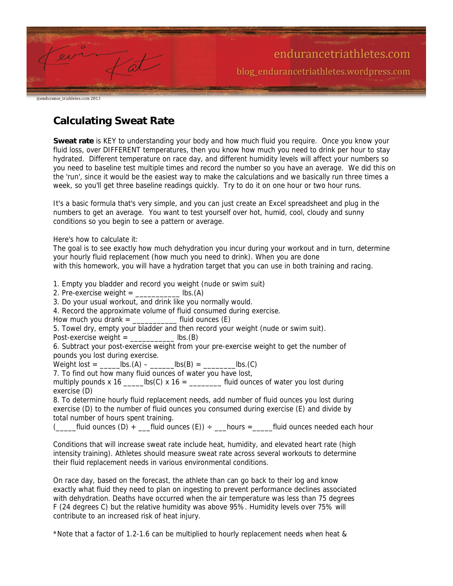|                                | endurancetriathletes.com                |
|--------------------------------|-----------------------------------------|
|                                | blog_endurancetriathletes.wordpress.com |
|                                |                                         |
| @endurance triahletes.com 2013 |                                         |

**Calculating Sweat Rate**

**Sweat rate** is KEY to understanding your body and how much fluid you require. Once you know your fluid loss, over DIFFERENT temperatures, then you know how much you need to drink per hour to stay hydrated. Different temperature on race day, and different humidity levels will affect your numbers so you need to baseline test multiple times and record the number so you have an average. We did this on the 'run', since it would be the easiest way to make the calculations and we basically run three times a week, so you'll get three baseline readings quickly. Try to do it on one hour or two hour runs.

It's a basic formula that's very simple, and you can just create an Excel spreadsheet and plug in the numbers to get an average. You want to test yourself over hot, humid, cool, cloudy and sunny conditions so you begin to see a pattern or average.

Here's how to calculate it:

The goal is to see exactly how much dehydration you incur during your workout and in turn, determine your hourly fluid replacement (how much you need to drink). When you are done with this homework, you will have a hydration target that you can use in both training and racing.

1. Empty you bladder and record you weight (nude or swim suit)

2. Pre-exercise weight  $=$  lbs.(A)

3. Do your usual workout, and drink like you normally would.

4. Record the approximate volume of fluid consumed during exercise.

How much you drank  $=$  \_\_\_\_\_\_\_\_\_\_\_\_\_\_\_\_ fluid ounces  $(E)$ 

5. Towel dry, empty your bladder and then record your weight (nude or swim suit).

Post-exercise weight = \_\_\_\_\_\_\_\_\_\_\_ lbs.(B)

6. Subtract your post-exercise weight from your pre-exercise weight to get the number of pounds you lost during exercise.

Weight lost = \_\_\_\_\_lbs.(A) – \_\_\_\_\_\_lbs(B) = \_\_\_\_\_\_\_\_lbs.(C)

7. To find out how many fluid ounces of water you have lost,

multiply pounds x 16  $\qquad$  lbs(C) x 16 =  $\qquad$  fluid ounces of water you lost during exercise (D)

8. To determine hourly fluid replacement needs, add number of fluid ounces you lost during exercise (D) to the number of fluid ounces you consumed during exercise (E) and divide by total number of hours spent training.

 $($   $\Box$  fluid ounces (D) +  $\Box$  fluid ounces (E)) ÷  $\Box$  hours =  $\Box$  fluid ounces needed each hour

Conditions that will increase sweat rate include heat, humidity, and elevated heart rate (high intensity training). Athletes should measure sweat rate across several workouts to determine their fluid replacement needs in various environmental conditions.

On race day, based on the forecast, the athlete than can go back to their log and know exactly what fluid they need to plan on ingesting to prevent performance declines associated with dehydration. Deaths have occurred when the air temperature was less than 75 degrees F (24 degrees C) but the relative humidity was above 95%. Humidity levels over 75% will contribute to an increased risk of heat injury.

\*Note that a factor of 1.2-1.6 can be multiplied to hourly replacement needs when heat &